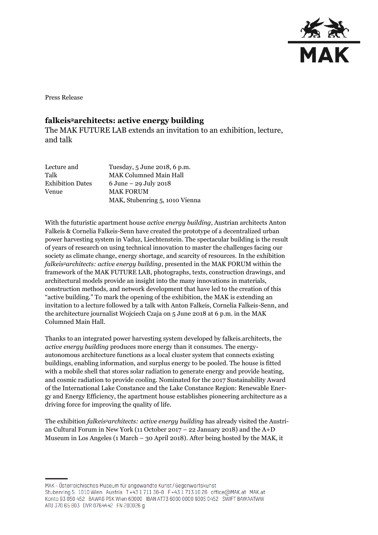

Press Release

## **falkeis2architects: active energy building**

The MAK FUTURE LAB extends an invitation to an exhibition, lecture, and talk

| Lecture and             | Tuesday, 5 June 2018, 6 p.m.             |
|-------------------------|------------------------------------------|
| Talk                    | <b>MAK Columned Main Hall</b>            |
| <b>Exhibition Dates</b> | $6 \text{ June} - 29 \text{ July } 2018$ |
| Venue                   | <b>MAK FORUM</b>                         |
|                         | MAK, Stubenring 5, 1010 Vienna           |

With the futuristic apartment house *active energy building*, Austrian architects Anton Falkeis & Cornelia Falkeis-Senn have created the prototype of a decentralized urban power harvesting system in Vaduz, Liechtenstein. The spectacular building is the result of years of research on using technical innovation to master the challenges facing our society as climate change, energy shortage, and scarcity of resources. In the exhibition *falkeis2architects: active energy building*, presented in the MAK FORUM within the framework of the MAK FUTURE LAB, photographs, texts, construction drawings, and architectural models provide an insight into the many innovations in materials, construction methods, and network development that have led to the creation of this "active building." To mark the opening of the exhibition, the MAK is extending an invitation to a lecture followed by a talk with Anton Falkeis, Cornelia Falkeis-Senn, and the architecture journalist Wojciech Czaja on 5 June 2018 at 6 p.m. in the MAK Columned Main Hall.

Thanks to an integrated power harvesting system developed by falkeis.architects, the *active energy building* produces more energy than it consumes. The energyautonomous architecture functions as a local cluster system that connects existing buildings, enabling information, and surplus energy to be pooled. The house is fitted with a mobile shell that stores solar radiation to generate energy and provide heating, and cosmic radiation to provide cooling. Nominated for the 2017 Sustainability Award of the International Lake Constance and the Lake Constance Region: Renewable Energy and Energy Efficiency, the apartment house establishes pioneering architecture as a driving force for improving the quality of life.

The exhibition *falkeis2architects: active energy building* has already visited the Austrian Cultural Forum in New York (11 October 2017 – 22 January 2018) and the A+D Museum in Los Angeles (1 March – 30 April 2018). After being hosted by the MAK, it

MAK – Österreichisches Museum für angewandte Kunst/Gegenwartskunst Stubenring 5 1010 Wien Austria T+43 1711 36-0 F+43 1713 10 26 office@MAK.at MAK.at Konto 93 050 452 BAWAG PSK Wien 60000 IBAN AT73 6000 0000 9305 0452 SWIFT BAWAATWW ATU 370 65 803 DVR 0764442 FN 200026 g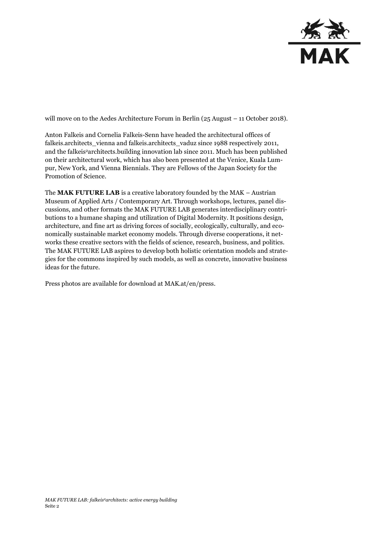

will move on to the Aedes Architecture Forum in Berlin (25 August – 11 October 2018).

Anton Falkeis and Cornelia Falkeis-Senn have headed the architectural offices of falkeis.architects\_vienna and falkeis.architects\_vaduz since 1988 respectively 2011, and the falkeis<sup>2</sup> architects.building innovation lab since 2011. Much has been published on their architectural work, which has also been presented at the Venice, Kuala Lumpur, New York, and Vienna Biennials. They are Fellows of the Japan Society for the Promotion of Science.

The **MAK FUTURE LAB** is a creative laboratory founded by the MAK – Austrian Museum of Applied Arts / Contemporary Art. Through workshops, lectures, panel discussions, and other formats the MAK FUTURE LAB generates interdisciplinary contributions to a humane shaping and utilization of Digital Modernity. It positions design, architecture, and fine art as driving forces of socially, ecologically, culturally, and economically sustainable market economy models. Through diverse cooperations, it networks these creative sectors with the fields of science, research, business, and politics. The MAK FUTURE LAB aspires to develop both holistic orientation models and strategies for the commons inspired by such models, as well as concrete, innovative business ideas for the future.

Press photos are available for download at MAK.at/en/press.